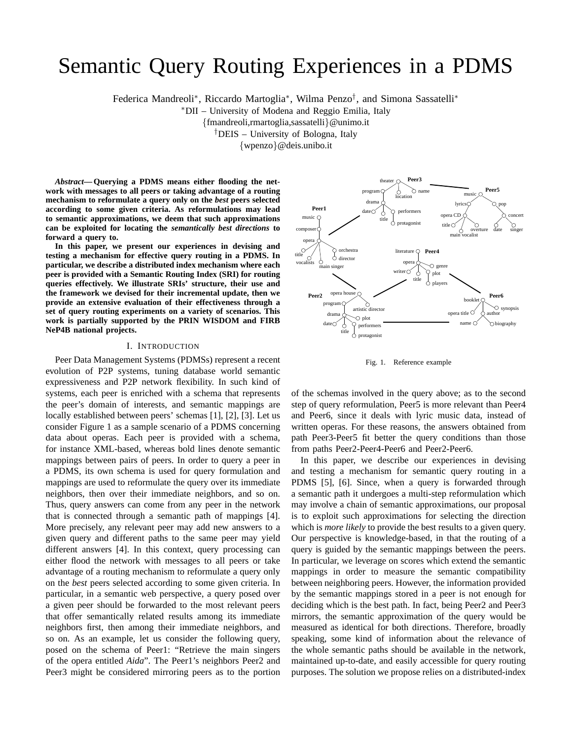# Semantic Query Routing Experiences in a PDMS

Federica Mandreoli<sup>∗</sup> , Riccardo Martoglia<sup>∗</sup> , Wilma Penzo† , and Simona Sassatelli<sup>∗</sup>

<sup>∗</sup>DII – University of Modena and Reggio Emilia, Italy

{fmandreoli,rmartoglia,sassatelli}@unimo.it

†DEIS – University of Bologna, Italy

{wpenzo}@deis.unibo.it

*Abstract***— Querying a PDMS means either flooding the network with messages to all peers or taking advantage of a routing mechanism to reformulate a query only on the** *best* **peers selected according to some given criteria. As reformulations may lead to semantic approximations, we deem that such approximations can be exploited for locating the** *semantically best directions* **to forward a query to.**

**In this paper, we present our experiences in devising and testing a mechanism for effective query routing in a PDMS. In particular, we describe a distributed index mechanism where each peer is provided with a Semantic Routing Index (SRI) for routing queries effectively. We illustrate SRIs' structure, their use and the framework we devised for their incremental update, then we provide an extensive evaluation of their effectiveness through a set of query routing experiments on a variety of scenarios. This work is partially supported by the PRIN WISDOM and FIRB NeP4B national projects.**

#### I. INTRODUCTION

Peer Data Management Systems (PDMSs) represent a recent evolution of P2P systems, tuning database world semantic expressiveness and P2P network flexibility. In such kind of systems, each peer is enriched with a schema that represents the peer's domain of interests, and semantic mappings are locally established between peers' schemas [1], [2], [3]. Let us consider Figure 1 as a sample scenario of a PDMS concerning data about operas. Each peer is provided with a schema, for instance XML-based, whereas bold lines denote semantic mappings between pairs of peers. In order to query a peer in a PDMS, its own schema is used for query formulation and mappings are used to reformulate the query over its immediate neighbors, then over their immediate neighbors, and so on. Thus, query answers can come from any peer in the network that is connected through a semantic path of mappings [4]. More precisely, any relevant peer may add new answers to a given query and different paths to the same peer may yield different answers [4]. In this context, query processing can either flood the network with messages to all peers or take advantage of a routing mechanism to reformulate a query only on the *best* peers selected according to some given criteria. In particular, in a semantic web perspective, a query posed over a given peer should be forwarded to the most relevant peers that offer semantically related results among its immediate neighbors first, then among their immediate neighbors, and so on. As an example, let us consider the following query, posed on the schema of Peer1: "Retrieve the main singers of the opera entitled *Aida*". The Peer1's neighbors Peer2 and Peer3 might be considered mirroring peers as to the portion



Fig. 1. Reference example

of the schemas involved in the query above; as to the second step of query reformulation, Peer5 is more relevant than Peer4 and Peer6, since it deals with lyric music data, instead of written operas. For these reasons, the answers obtained from path Peer3-Peer5 fit better the query conditions than those from paths Peer2-Peer4-Peer6 and Peer2-Peer6.

In this paper, we describe our experiences in devising and testing a mechanism for semantic query routing in a PDMS [5], [6]. Since, when a query is forwarded through a semantic path it undergoes a multi-step reformulation which may involve a chain of semantic approximations, our proposal is to exploit such approximations for selecting the direction which is *more likely* to provide the best results to a given query. Our perspective is knowledge-based, in that the routing of a query is guided by the semantic mappings between the peers. In particular, we leverage on scores which extend the semantic mappings in order to measure the semantic compatibility between neighboring peers. However, the information provided by the semantic mappings stored in a peer is not enough for deciding which is the best path. In fact, being Peer2 and Peer3 mirrors, the semantic approximation of the query would be measured as identical for both directions. Therefore, broadly speaking, some kind of information about the relevance of the whole semantic paths should be available in the network, maintained up-to-date, and easily accessible for query routing purposes. The solution we propose relies on a distributed-index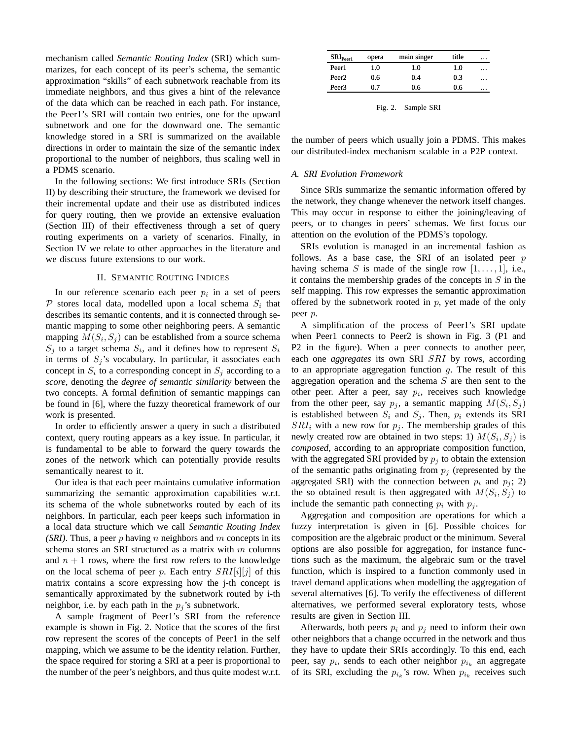mechanism called *Semantic Routing Index* (SRI) which summarizes, for each concept of its peer's schema, the semantic approximation "skills" of each subnetwork reachable from its immediate neighbors, and thus gives a hint of the relevance of the data which can be reached in each path. For instance, the Peer1's SRI will contain two entries, one for the upward subnetwork and one for the downward one. The semantic knowledge stored in a SRI is summarized on the available directions in order to maintain the size of the semantic index proportional to the number of neighbors, thus scaling well in a PDMS scenario.

In the following sections: We first introduce SRIs (Section II) by describing their structure, the framework we devised for their incremental update and their use as distributed indices for query routing, then we provide an extensive evaluation (Section III) of their effectiveness through a set of query routing experiments on a variety of scenarios. Finally, in Section IV we relate to other approaches in the literature and we discuss future extensions to our work.

### II. SEMANTIC ROUTING INDICES

In our reference scenario each peer  $p_i$  in a set of peers  $P$  stores local data, modelled upon a local schema  $S_i$  that describes its semantic contents, and it is connected through semantic mapping to some other neighboring peers. A semantic mapping  $M(S_i, S_j)$  can be established from a source schema  $S_j$  to a target schema  $S_i$ , and it defines how to represent  $S_i$ in terms of  $S_j$ 's vocabulary. In particular, it associates each concept in  $S_i$  to a corresponding concept in  $S_j$  according to a *score*, denoting the *degree of semantic similarity* between the two concepts. A formal definition of semantic mappings can be found in [6], where the fuzzy theoretical framework of our work is presented.

In order to efficiently answer a query in such a distributed context, query routing appears as a key issue. In particular, it is fundamental to be able to forward the query towards the zones of the network which can potentially provide results semantically nearest to it.

Our idea is that each peer maintains cumulative information summarizing the semantic approximation capabilities w.r.t. its schema of the whole subnetworks routed by each of its neighbors. In particular, each peer keeps such information in a local data structure which we call *Semantic Routing Index (SRI)*. Thus, a peer p having n neighbors and m concepts in its schema stores an SRI structured as a matrix with  $m$  columns and  $n + 1$  rows, where the first row refers to the knowledge on the local schema of peer p. Each entry  $SRI[i][j]$  of this matrix contains a score expressing how the j-th concept is semantically approximated by the subnetwork routed by i-th neighbor, i.e. by each path in the  $p_j$ 's subnetwork.

A sample fragment of Peer1's SRI from the reference example is shown in Fig. 2. Notice that the scores of the first row represent the scores of the concepts of Peer1 in the self mapping, which we assume to be the identity relation. Further, the space required for storing a SRI at a peer is proportional to the number of the peer's neighbors, and thus quite modest w.r.t.

| SRI <sub>peer1</sub> | opera | main singer | title | $\cdots$ |
|----------------------|-------|-------------|-------|----------|
| Peer1                | 1.0   | 1.0         | 1.0   | $\cdots$ |
| Peer <sub>2</sub>    | 0.6   | 0.4         | 0.3   | $\cdots$ |
| Peer3                | 0.7   | 0.6         | 0.6   | $\cdots$ |

Fig. 2. Sample SRI

the number of peers which usually join a PDMS. This makes our distributed-index mechanism scalable in a P2P context.

# *A. SRI Evolution Framework*

Since SRIs summarize the semantic information offered by the network, they change whenever the network itself changes. This may occur in response to either the joining/leaving of peers, or to changes in peers' schemas. We first focus our attention on the evolution of the PDMS's topology.

SRIs evolution is managed in an incremental fashion as follows. As a base case, the SRI of an isolated peer  $p$ having schema S is made of the single row  $[1, \ldots, 1]$ , i.e., it contains the membership grades of the concepts in  $S$  in the self mapping. This row expresses the semantic approximation offered by the subnetwork rooted in  $p$ , yet made of the only peer p.

A simplification of the process of Peer1's SRI update when Peer1 connects to Peer2 is shown in Fig. 3 (P1 and P2 in the figure). When a peer connects to another peer, each one *aggregates* its own SRI SRI by rows, according to an appropriate aggregation function  $g$ . The result of this aggregation operation and the schema  $S$  are then sent to the other peer. After a peer, say  $p_i$ , receives such knowledge from the other peer, say  $p_j$ , a semantic mapping  $M(S_i, S_j)$ is established between  $S_i$  and  $S_j$ . Then,  $p_i$  extends its SRI  $SRI_i$  with a new row for  $p_i$ . The membership grades of this newly created row are obtained in two steps: 1)  $M(S_i, S_j)$  is *composed*, according to an appropriate composition function, with the aggregated SRI provided by  $p_i$  to obtain the extension of the semantic paths originating from  $p_i$  (represented by the aggregated SRI) with the connection between  $p_i$  and  $p_j$ ; 2) the so obtained result is then aggregated with  $M(S_i, S_j)$  to include the semantic path connecting  $p_i$  with  $p_j$ .

Aggregation and composition are operations for which a fuzzy interpretation is given in [6]. Possible choices for composition are the algebraic product or the minimum. Several options are also possible for aggregation, for instance functions such as the maximum, the algebraic sum or the travel function, which is inspired to a function commonly used in travel demand applications when modelling the aggregation of several alternatives [6]. To verify the effectiveness of different alternatives, we performed several exploratory tests, whose results are given in Section III.

Afterwards, both peers  $p_i$  and  $p_j$  need to inform their own other neighbors that a change occurred in the network and thus they have to update their SRIs accordingly. To this end, each peer, say  $p_i$ , sends to each other neighbor  $p_{i_k}$  an aggregate of its SRI, excluding the  $p_{i_k}$ 's row. When  $p_{i_k}$  receives such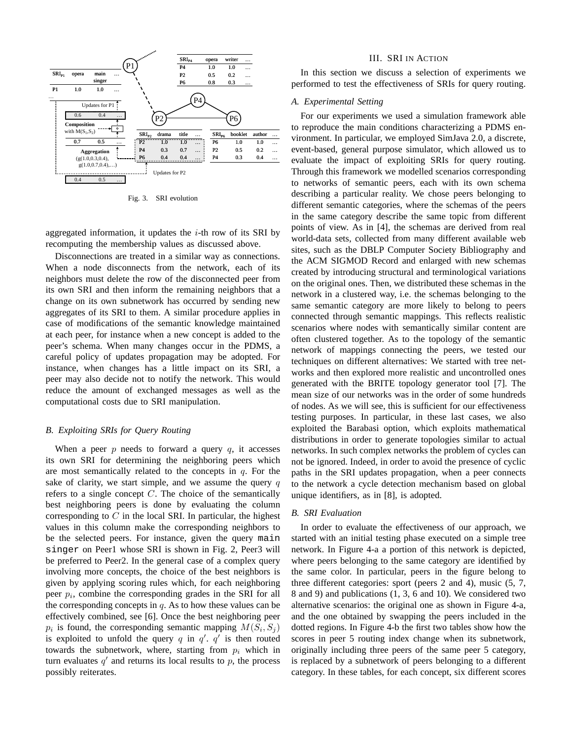

Fig. 3. SRI evolution

aggregated information, it updates the  $i$ -th row of its SRI by recomputing the membership values as discussed above.

Disconnections are treated in a similar way as connections. When a node disconnects from the network, each of its neighbors must delete the row of the disconnected peer from its own SRI and then inform the remaining neighbors that a change on its own subnetwork has occurred by sending new aggregates of its SRI to them. A similar procedure applies in case of modifications of the semantic knowledge maintained at each peer, for instance when a new concept is added to the peer's schema. When many changes occur in the PDMS, a careful policy of updates propagation may be adopted. For instance, when changes has a little impact on its SRI, a peer may also decide not to notify the network. This would reduce the amount of exchanged messages as well as the computational costs due to SRI manipulation.

# *B. Exploiting SRIs for Query Routing*

When a peer  $p$  needs to forward a query  $q$ , it accesses its own SRI for determining the neighboring peers which are most semantically related to the concepts in  $q$ . For the sake of clarity, we start simple, and we assume the query  $q$ refers to a single concept  $C$ . The choice of the semantically best neighboring peers is done by evaluating the column corresponding to  $C$  in the local SRI. In particular, the highest values in this column make the corresponding neighbors to be the selected peers. For instance, given the query main singer on Peer1 whose SRI is shown in Fig. 2, Peer3 will be preferred to Peer2. In the general case of a complex query involving more concepts, the choice of the best neighbors is given by applying scoring rules which, for each neighboring peer  $p_i$ , combine the corresponding grades in the SRI for all the corresponding concepts in  $q$ . As to how these values can be effectively combined, see [6]. Once the best neighboring peer  $p_i$  is found, the corresponding semantic mapping  $M(S_i, S_j)$ is exploited to unfold the query q in  $q'$ .  $q'$  is then routed towards the subnetwork, where, starting from  $p_i$  which in turn evaluates  $q'$  and returns its local results to p, the process possibly reiterates.

#### III. SRI IN ACTION

In this section we discuss a selection of experiments we performed to test the effectiveness of SRIs for query routing.

### *A. Experimental Setting*

For our experiments we used a simulation framework able to reproduce the main conditions characterizing a PDMS environment. In particular, we employed SimJava 2.0, a discrete, event-based, general purpose simulator, which allowed us to evaluate the impact of exploiting SRIs for query routing. Through this framework we modelled scenarios corresponding to networks of semantic peers, each with its own schema describing a particular reality. We chose peers belonging to different semantic categories, where the schemas of the peers in the same category describe the same topic from different points of view. As in [4], the schemas are derived from real world-data sets, collected from many different available web sites, such as the DBLP Computer Society Bibliography and the ACM SIGMOD Record and enlarged with new schemas created by introducing structural and terminological variations on the original ones. Then, we distributed these schemas in the network in a clustered way, i.e. the schemas belonging to the same semantic category are more likely to belong to peers connected through semantic mappings. This reflects realistic scenarios where nodes with semantically similar content are often clustered together. As to the topology of the semantic network of mappings connecting the peers, we tested our techniques on different alternatives: We started with tree networks and then explored more realistic and uncontrolled ones generated with the BRITE topology generator tool [7]. The mean size of our networks was in the order of some hundreds of nodes. As we will see, this is sufficient for our effectiveness testing purposes. In particular, in these last cases, we also exploited the Barabasi option, which exploits mathematical distributions in order to generate topologies similar to actual networks. In such complex networks the problem of cycles can not be ignored. Indeed, in order to avoid the presence of cyclic paths in the SRI updates propagation, when a peer connects to the network a cycle detection mechanism based on global unique identifiers, as in [8], is adopted.

## *B. SRI Evaluation*

In order to evaluate the effectiveness of our approach, we started with an initial testing phase executed on a simple tree network. In Figure 4-a a portion of this network is depicted, where peers belonging to the same category are identified by the same color. In particular, peers in the figure belong to three different categories: sport (peers 2 and 4), music (5, 7, 8 and 9) and publications (1, 3, 6 and 10). We considered two alternative scenarios: the original one as shown in Figure 4-a, and the one obtained by swapping the peers included in the dotted regions. In Figure 4-b the first two tables show how the scores in peer 5 routing index change when its subnetwork, originally including three peers of the same peer 5 category, is replaced by a subnetwork of peers belonging to a different category. In these tables, for each concept, six different scores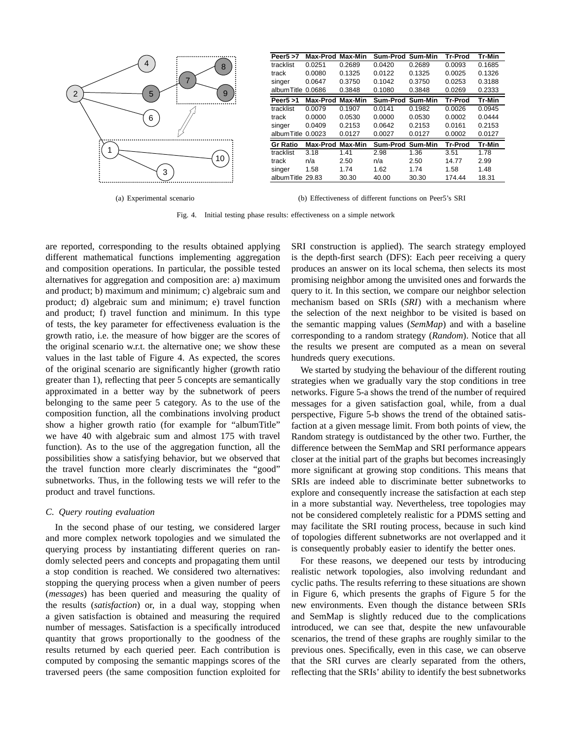

(a) Experimental scenario

albumTitle 29.83 30.30 40.00 30.30 174.44 18.31 (b) Effectiveness of different functions on Peer5's SRI

**Peer5 >7 Max-Prod Max-Min Sum-Prod Sum-Min Tr-Prod Tr-Min** tracklist 0.0251 0.2689 0.0420 0.2689 0.0093 0.1685 track 0.0080 0.1325 0.0122 0.1325 0.0025 0.1326 singer 0.0647 0.3750 0.1042 0.3750 0.0253 0.3188 albumTitle 0.0686 0.3848 0.1080 0.3848 0.0269 0.2333 **Peer5 >1 Max-Prod Max-Min Sum-Prod Sum-Min Tr-Prod Tr-Min** tracklist 0.0079 0.1907 0.0141 0.1982 0.0026 0.0945 track 0.0000 0.0530 0.0000 0.0530 0.0002 0.0444 singer 0.0409 0.2153 0.0642 0.2153 0.0161 0.2153 albumTitle 0.0023 0.0127 0.0027 0.0127 0.0002 0.0127 **Gr Ratio Max-Prod Max-Min Sum-Prod Sum-Min Tr-Prod Tr-Min** tracklist 3.18 1.41 2.98 1.36 3.51 1.78 track n/a 2.50 n/a 2.50 14.77 2.99 singer 1.58 1.74 1.62 1.74 1.58 1.48

Fig. 4. Initial testing phase results: effectiveness on a simple network

are reported, corresponding to the results obtained applying different mathematical functions implementing aggregation and composition operations. In particular, the possible tested alternatives for aggregation and composition are: a) maximum and product; b) maximum and minimum; c) algebraic sum and product; d) algebraic sum and minimum; e) travel function and product; f) travel function and minimum. In this type of tests, the key parameter for effectiveness evaluation is the growth ratio, i.e. the measure of how bigger are the scores of the original scenario w.r.t. the alternative one; we show these values in the last table of Figure 4. As expected, the scores of the original scenario are significantly higher (growth ratio greater than 1), reflecting that peer 5 concepts are semantically approximated in a better way by the subnetwork of peers belonging to the same peer 5 category. As to the use of the composition function, all the combinations involving product show a higher growth ratio (for example for "albumTitle" we have 40 with algebraic sum and almost 175 with travel function). As to the use of the aggregation function, all the possibilities show a satisfying behavior, but we observed that the travel function more clearly discriminates the "good" subnetworks. Thus, in the following tests we will refer to the product and travel functions.

## *C. Query routing evaluation*

In the second phase of our testing, we considered larger and more complex network topologies and we simulated the querying process by instantiating different queries on randomly selected peers and concepts and propagating them until a stop condition is reached. We considered two alternatives: stopping the querying process when a given number of peers (*messages*) has been queried and measuring the quality of the results (*satisfaction*) or, in a dual way, stopping when a given satisfaction is obtained and measuring the required number of messages. Satisfaction is a specifically introduced quantity that grows proportionally to the goodness of the results returned by each queried peer. Each contribution is computed by composing the semantic mappings scores of the traversed peers (the same composition function exploited for SRI construction is applied). The search strategy employed is the depth-first search (DFS): Each peer receiving a query produces an answer on its local schema, then selects its most promising neighbor among the unvisited ones and forwards the query to it. In this section, we compare our neighbor selection mechanism based on SRIs (*SRI*) with a mechanism where the selection of the next neighbor to be visited is based on the semantic mapping values (*SemMap*) and with a baseline corresponding to a random strategy (*Random*). Notice that all the results we present are computed as a mean on several hundreds query executions.

We started by studying the behaviour of the different routing strategies when we gradually vary the stop conditions in tree networks. Figure 5-a shows the trend of the number of required messages for a given satisfaction goal, while, from a dual perspective, Figure 5-b shows the trend of the obtained satisfaction at a given message limit. From both points of view, the Random strategy is outdistanced by the other two. Further, the difference between the SemMap and SRI performance appears closer at the initial part of the graphs but becomes increasingly more significant at growing stop conditions. This means that SRIs are indeed able to discriminate better subnetworks to explore and consequently increase the satisfaction at each step in a more substantial way. Nevertheless, tree topologies may not be considered completely realistic for a PDMS setting and may facilitate the SRI routing process, because in such kind of topologies different subnetworks are not overlapped and it is consequently probably easier to identify the better ones.

For these reasons, we deepened our tests by introducing realistic network topologies, also involving redundant and cyclic paths. The results referring to these situations are shown in Figure 6, which presents the graphs of Figure 5 for the new environments. Even though the distance between SRIs and SemMap is slightly reduced due to the complications introduced, we can see that, despite the new unfavourable scenarios, the trend of these graphs are roughly similar to the previous ones. Specifically, even in this case, we can observe that the SRI curves are clearly separated from the others, reflecting that the SRIs' ability to identify the best subnetworks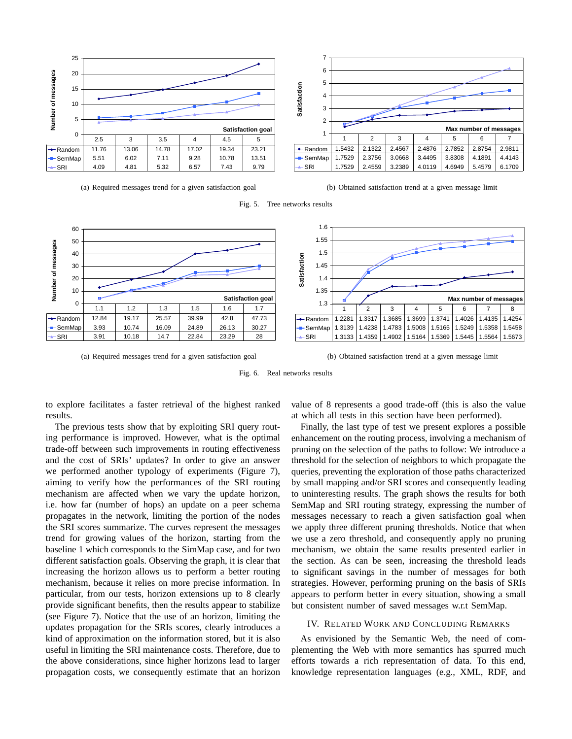

(a) Required messages trend for a given satisfaction goal

(b) Obtained satisfaction trend at a given message limit



Fig. 5. Tree networks results



(a) Required messages trend for a given satisfaction goal

(b) Obtained satisfaction trend at a given message limit

Fig. 6. Real networks results

to explore facilitates a faster retrieval of the highest ranked results.

The previous tests show that by exploiting SRI query routing performance is improved. However, what is the optimal trade-off between such improvements in routing effectiveness and the cost of SRIs' updates? In order to give an answer we performed another typology of experiments (Figure 7), aiming to verify how the performances of the SRI routing mechanism are affected when we vary the update horizon, i.e. how far (number of hops) an update on a peer schema propagates in the network, limiting the portion of the nodes the SRI scores summarize. The curves represent the messages trend for growing values of the horizon, starting from the baseline 1 which corresponds to the SimMap case, and for two different satisfaction goals. Observing the graph, it is clear that increasing the horizon allows us to perform a better routing mechanism, because it relies on more precise information. In particular, from our tests, horizon extensions up to 8 clearly provide significant benefits, then the results appear to stabilize (see Figure 7). Notice that the use of an horizon, limiting the updates propagation for the SRIs scores, clearly introduces a kind of approximation on the information stored, but it is also useful in limiting the SRI maintenance costs. Therefore, due to the above considerations, since higher horizons lead to larger propagation costs, we consequently estimate that an horizon

value of 8 represents a good trade-off (this is also the value at which all tests in this section have been performed).

Finally, the last type of test we present explores a possible enhancement on the routing process, involving a mechanism of pruning on the selection of the paths to follow: We introduce a threshold for the selection of neighbors to which propagate the queries, preventing the exploration of those paths characterized by small mapping and/or SRI scores and consequently leading to uninteresting results. The graph shows the results for both SemMap and SRI routing strategy, expressing the number of messages necessary to reach a given satisfaction goal when we apply three different pruning thresholds. Notice that when we use a zero threshold, and consequently apply no pruning mechanism, we obtain the same results presented earlier in the section. As can be seen, increasing the threshold leads to significant savings in the number of messages for both strategies. However, performing pruning on the basis of SRIs appears to perform better in every situation, showing a small but consistent number of saved messages w.r.t SemMap.

# IV. RELATED WORK AND CONCLUDING REMARKS

As envisioned by the Semantic Web, the need of complementing the Web with more semantics has spurred much efforts towards a rich representation of data. To this end, knowledge representation languages (e.g., XML, RDF, and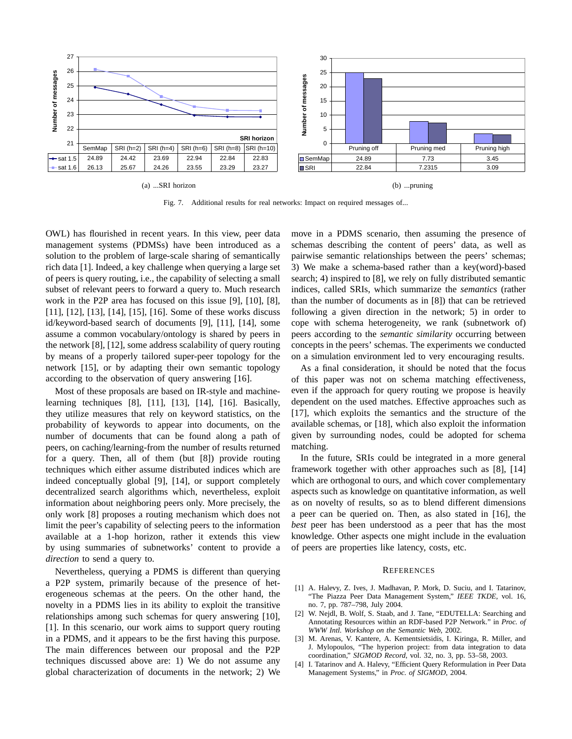

Fig. 7. Additional results for real networks: Impact on required messages of...

OWL) has flourished in recent years. In this view, peer data management systems (PDMSs) have been introduced as a solution to the problem of large-scale sharing of semantically rich data [1]. Indeed, a key challenge when querying a large set of peers is query routing, i.e., the capability of selecting a small subset of relevant peers to forward a query to. Much research work in the P2P area has focused on this issue [9], [10], [8], [11], [12], [13], [14], [15], [16]. Some of these works discuss id/keyword-based search of documents [9], [11], [14], some assume a common vocabulary/ontology is shared by peers in the network [8], [12], some address scalability of query routing by means of a properly tailored super-peer topology for the network [15], or by adapting their own semantic topology according to the observation of query answering [16].

Most of these proposals are based on IR-style and machinelearning techniques [8], [11], [13], [14], [16]. Basically, they utilize measures that rely on keyword statistics, on the probability of keywords to appear into documents, on the number of documents that can be found along a path of peers, on caching/learning-from the number of results returned for a query. Then, all of them (but [8]) provide routing techniques which either assume distributed indices which are indeed conceptually global [9], [14], or support completely decentralized search algorithms which, nevertheless, exploit information about neighboring peers only. More precisely, the only work [8] proposes a routing mechanism which does not limit the peer's capability of selecting peers to the information available at a 1-hop horizon, rather it extends this view by using summaries of subnetworks' content to provide a *direction* to send a query to.

Nevertheless, querying a PDMS is different than querying a P2P system, primarily because of the presence of heterogeneous schemas at the peers. On the other hand, the novelty in a PDMS lies in its ability to exploit the transitive relationships among such schemas for query answering [10], [1]. In this scenario, our work aims to support query routing in a PDMS, and it appears to be the first having this purpose. The main differences between our proposal and the P2P techniques discussed above are: 1) We do not assume any global characterization of documents in the network; 2) We move in a PDMS scenario, then assuming the presence of schemas describing the content of peers' data, as well as pairwise semantic relationships between the peers' schemas; 3) We make a schema-based rather than a key(word)-based search; 4) inspired to [8], we rely on fully distributed semantic indices, called SRIs, which summarize the *semantics* (rather than the number of documents as in [8]) that can be retrieved following a given direction in the network; 5) in order to cope with schema heterogeneity, we rank (subnetwork of) peers according to the *semantic similarity* occurring between concepts in the peers' schemas. The experiments we conducted on a simulation environment led to very encouraging results.

As a final consideration, it should be noted that the focus of this paper was not on schema matching effectiveness, even if the approach for query routing we propose is heavily dependent on the used matches. Effective approaches such as [17], which exploits the semantics and the structure of the available schemas, or [18], which also exploit the information given by surrounding nodes, could be adopted for schema matching.

In the future, SRIs could be integrated in a more general framework together with other approaches such as [8], [14] which are orthogonal to ours, and which cover complementary aspects such as knowledge on quantitative information, as well as on novelty of results, so as to blend different dimensions a peer can be queried on. Then, as also stated in [16], the *best* peer has been understood as a peer that has the most knowledge. Other aspects one might include in the evaluation of peers are properties like latency, costs, etc.

#### **REFERENCES**

- [1] A. Halevy, Z. Ives, J. Madhavan, P. Mork, D. Suciu, and I. Tatarinov, "The Piazza Peer Data Management System," *IEEE TKDE*, vol. 16, no. 7, pp. 787–798, July 2004.
- [2] W. Nejdl, B. Wolf, S. Staab, and J. Tane, "EDUTELLA: Searching and Annotating Resources within an RDF-based P2P Network." in *Proc. of WWW Intl. Workshop on the Semantic Web*, 2002.
- [3] M. Arenas, V. Kantere, A. Kementsietsidis, I. Kiringa, R. Miller, and J. Mylopoulos, "The hyperion project: from data integration to data coordination," *SIGMOD Record*, vol. 32, no. 3, pp. 53–58, 2003.
- [4] I. Tatarinov and A. Halevy, "Efficient Query Reformulation in Peer Data Management Systems," in *Proc. of SIGMOD*, 2004.